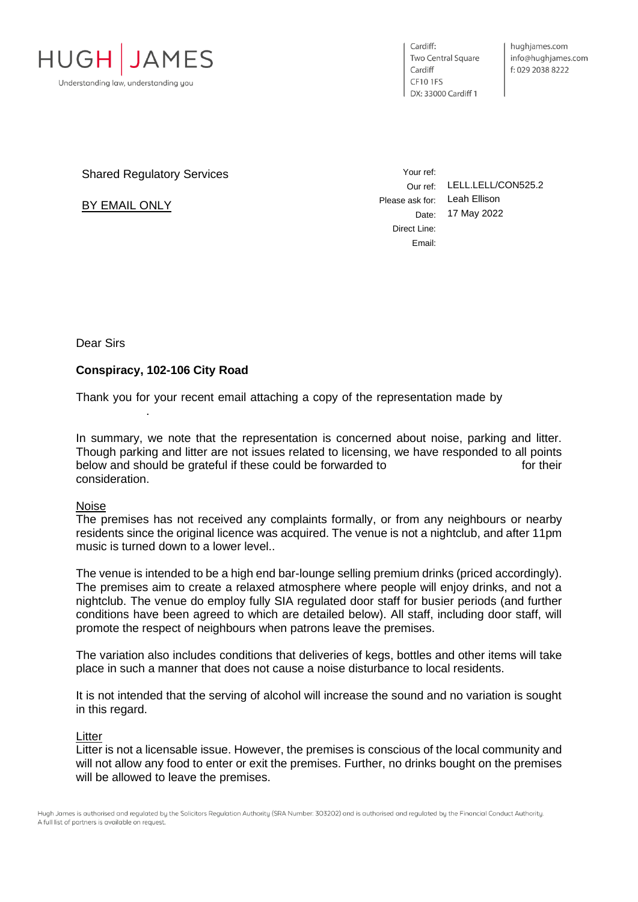

Cardiff: **Two Central Square** Cardiff **CF101FS** DX: 33000 Cardiff 1

Shared Regulatory Services

BY EMAIL ONLY

Your ref: Our ref: LELL.LELL/CON525.2 Please ask for: Leah Ellison Date: 17 May 2022 Direct Line: Email:

Dear Sirs

# **Conspiracy, 102-106 City Road**

.

Thank you for your recent email attaching a copy of the representation made by

In summary, we note that the representation is concerned about noise, parking and litter. Though parking and litter are not issues related to licensing, we have responded to all points below and should be grateful if these could be forwarded to form of their consideration.

#### Noise

The premises has not received any complaints formally, or from any neighbours or nearby residents since the original licence was acquired. The venue is not a nightclub, and after 11pm music is turned down to a lower level..

The venue is intended to be a high end bar-lounge selling premium drinks (priced accordingly). The premises aim to create a relaxed atmosphere where people will enjoy drinks, and not a nightclub. The venue do employ fully SIA regulated door staff for busier periods (and further conditions have been agreed to which are detailed below). All staff, including door staff, will promote the respect of neighbours when patrons leave the premises.

The variation also includes conditions that deliveries of kegs, bottles and other items will take place in such a manner that does not cause a noise disturbance to local residents.

It is not intended that the serving of alcohol will increase the sound and no variation is sought in this regard.

## **Litter**

Litter is not a licensable issue. However, the premises is conscious of the local community and will not allow any food to enter or exit the premises. Further, no drinks bought on the premises will be allowed to leave the premises.